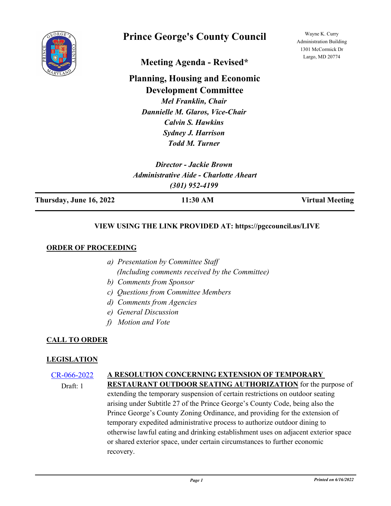

# **Prince George's County Council**

Wayne K. Curry Administration Building 1301 McCormick Dr Largo, MD 20774

**Meeting Agenda - Revised\***

**Planning, Housing and Economic Development Committee**

*Mel Franklin, Chair Dannielle M. Glaros, Vice-Chair Calvin S. Hawkins Sydney J. Harrison Todd M. Turner*

| Director - Jackie Brown                       |  |
|-----------------------------------------------|--|
| <b>Administrative Aide - Charlotte Aheart</b> |  |
| $(301)$ 952-4199                              |  |

**Thursday, June 16, 2022 11:30 AM Virtual Meeting**

## **VIEW USING THE LINK PROVIDED AT: https://pgccouncil.us/LIVE**

## **ORDER OF PROCEEDING**

- *a) Presentation by Committee Staff (Including comments received by the Committee)*
- *b) Comments from Sponsor*
- *c) Questions from Committee Members*
- *d) Comments from Agencies*
- *e) General Discussion*
- *f) Motion and Vote*

## **CALL TO ORDER**

## **LEGISLATION**

#### [CR-066-2022](http://princegeorgescountymd.legistar.com/gateway.aspx?m=l&id=/matter.aspx?key=14519) **A RESOLUTION CONCERNING EXTENSION OF TEMPORARY**

Draft: 1

**RESTAURANT OUTDOOR SEATING AUTHORIZATION** for the purpose of extending the temporary suspension of certain restrictions on outdoor seating arising under Subtitle 27 of the Prince George's County Code, being also the Prince George's County Zoning Ordinance, and providing for the extension of temporary expedited administrative process to authorize outdoor dining to otherwise lawful eating and drinking establishment uses on adjacent exterior space or shared exterior space, under certain circumstances to further economic recovery.